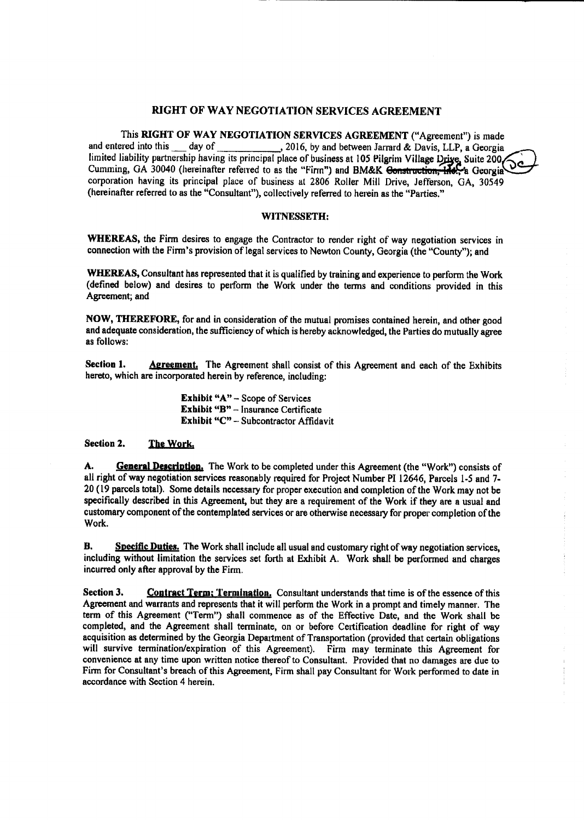## RIGHT OF WAY NEGOTIATION SERVICES AGREEMENT

This RIGHT OF WAY NEGOTIATION SERVICES AGREEMENT(" Agreement") is made and entered into this \_\_\_ day of \_\_\_\_\_\_\_\_\_\_\_, 2016, by and between Jarrard & Davis, LLP, a Georgia limited liability partnership having its principal place of business at 105 Pilgrim Village Drive, Suite 200 Cumming, GA 30040 (hereinafter referred to as the "Firm") and BM&K Construction, Inc., a Georgia corporation having its principal place of business at 2806 Roller Mill Drive, Jefferson, GA, 30549 (hereinafter referred to as the "Consultant"), collectively referred to herein as the "Parties."

#### WITNESSETH:

WHEREAS, the Firm desires to engage the Contractor to render right of way negotiation services in connection with the Firm's provision of legal services to Newton County, Georgia (the "County"); and

WHEREAS, Consultant has represented that it is qualified by training and experience to perform the Work defined below) and desires to perform the Work under the terms and conditions provided in this Agreement; and

NOW, THEREFORE, for and in consideration of the mutual promises contained herein, and other good and adequate consideration, the sufficiency of which is hereby acknowledged, the Parties do mutually agree as follows:

Section 1. Agreement. The Agreement shall consist of this Agreement and each of the Exhibits hereto, which are incorporated herein by reference, including:

> **Exhibit "A"**  $-$  Scope of Services Exhibit "B" - Insurance Certificate Exhibit "C" - Subcontractor Affidavit

#### Section 2. The Work.

A. General Description, The Work to be completed under this Agreement (the "Work") consists of all right of way negotiation services reasonably required for Project Number PI 12646, Parcels 1-5 and 7-20( <sup>19</sup> parcels total). Some details necessary for proper execution and completion of the Work may not be specifically described in this Agreement, but they are <sup>a</sup> requirement of the Work if they are <sup>a</sup> usual and customary component of the contemplated services or are otherwise necessary for proper completion of the Work.

**B.** Specific Duties. The Work shall include all usual and customary right of way negotiation services, including without limitation the services set forth at Exhibit A. Work shall be performed and charges incurred only after approval by the Firm.

Section 3. Contract Term; Termination, Consultant understands that time is of the essence of this Agreement and warrants and represents that it will perform the Work in a prompt and timely manner. The term of this Agreement (" Term') shall commence as of the Effective Date, and the Work shall be completed, and the Agreement shall terminate, on or before Certification deadline for right of way acquisition as determined by the Georgia Department of Transportation( provided that certain obligations will survive termination/expiration of this Agreement). Firm may terminate this Agreement for convenience at any time upon written notice thereof to Consultant. Provided that no damages are due to Firm for Consultant's breach of this Agreement, Firm shall pay Consultant for Work performed to date in accordance with Section 4 herein.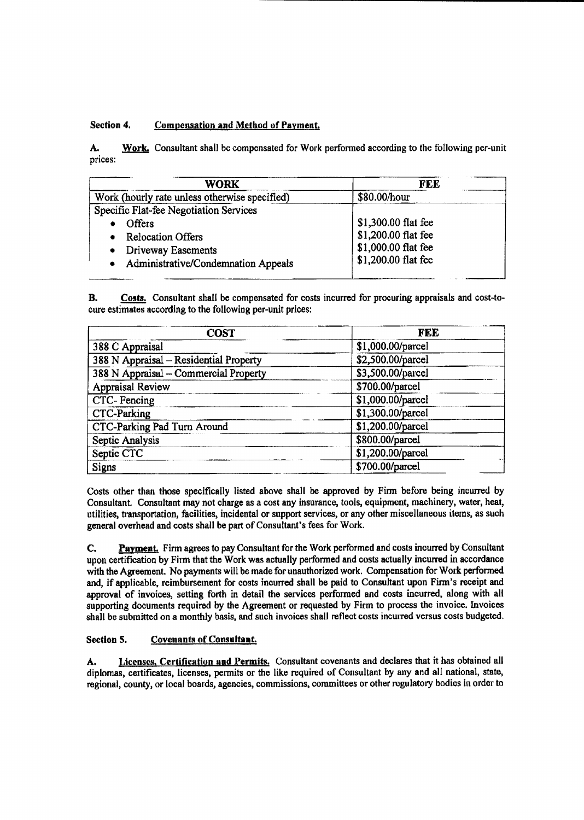# Section 4. Compensation and Method of Payment.

A. Work. Consultant shall be compensated for Work performed according to the following per-unit prices:

| <b>WORK</b>                                   | FEE                 |  |  |  |
|-----------------------------------------------|---------------------|--|--|--|
| Work (hourly rate unless otherwise specified) | \$80.00/hour        |  |  |  |
| Specific Flat-fee Negotiation Services        |                     |  |  |  |
| <b>Offers</b>                                 | \$1,300.00 flat fee |  |  |  |
| <b>Relocation Offers</b>                      | \$1,200.00 flat fee |  |  |  |
| Driveway Easements                            | \$1,000.00 flat fee |  |  |  |
| Administrative/Condemnation Appeals           | \$1,200.00 flat fee |  |  |  |

B. Costs. Consultant shall be compensated for costs incurred for procuring appraisals and cost-tocure estimates according to the following per-unit prices:

| <b>COST</b>                            | <b>FEE</b>        |  |  |  |  |
|----------------------------------------|-------------------|--|--|--|--|
| 388 C Appraisal                        | \$1,000.00/parcel |  |  |  |  |
| 388 N Appraisal - Residential Property | \$2,500.00/parcel |  |  |  |  |
| 388 N Appraisal - Commercial Property  | \$3,500.00/parcel |  |  |  |  |
| <b>Appraisal Review</b>                | \$700.00/parcel   |  |  |  |  |
| CTC-Fencing                            | \$1,000.00/parcel |  |  |  |  |
| <b>CTC-Parking</b>                     | \$1,300.00/parcel |  |  |  |  |
| <b>CTC-Parking Pad Turn Around</b>     | \$1,200.00/parcel |  |  |  |  |
| Septic Analysis                        | \$800.00/parcel   |  |  |  |  |
| Septic CTC                             | \$1,200.00/parcel |  |  |  |  |
| Signs                                  | \$700.00/parcel   |  |  |  |  |

Costs other than those specifically listed above shall be approved by Finn before being incurred by Consultant. Consultant may not charge as a cost any insurance, tools, equipment, machinery, water, heat, utilities, transportation, facilities, incidental or support services, or any other miscellaneous items, as such general overhead and costs shall be part of Consultant's fees for Work.

C. Payment. Firm agrees to pay Consultant for the Work performed and costs incurred by Consultant upon certification by Firm that the Work was actually performed and costs actually incurred in accordance with the Agreement. No payments will be made for unauthorized work. Compensation for Work performed and, if applicable, reimbursement for costs incurred shall be paid to Consultant upon Firm's receipt and approval of invoices, setting forth in detail the services performed and costs incurred, along with all supporting documents required by the Agreement or requested by Firm to process the invoice. Invoices shall be submitted on a monthly basis, and such invoices shall reflect costs incurred versus costs budgeted.

# Section 5. Covenants of Consultant.

A. Licenses, Certification and Permits. Consultant covenants and declares that it has obtained all diplomas, certificates, licenses, permits or the like required of Consultant by any and all national, state, regional, county, or local boards, agencies, commissions, committees or other regulatory bodies in order to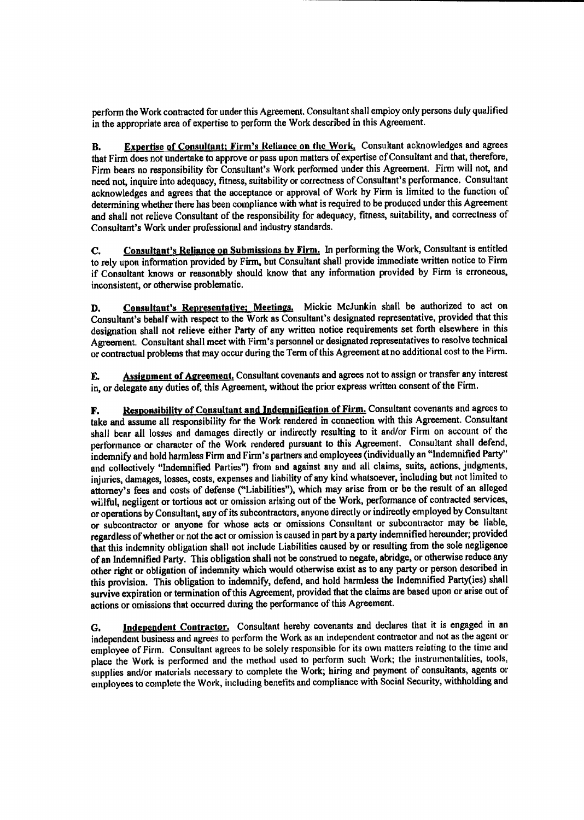perform the Work contracted for under this Agreement. Consultant shall employ only persons duly qualified in the appropriate area of expertise to perform the Work described in this Agreement.

B. Expertise of Consultant; Firm's Reliance on the Work. Consultant acknowledges and agrees that Firm does not undertake to approve or pass upon matters of expertise of Consultant and that, therefore, Firm bears no responsibility for Consultant's Work performed under this Agreement. Firm will not, and need not, inquire into adequacy, fitness, suitability or correctness of Consultant's performance. Consultant acknowledges and agrees that the acceptance or approval of Work by Firm is limited to the function of determining whether there has been compliance with what is required to be produced under this Agreement and shall not relieve Consultant of the responsibility for adequacy, fitness, suitability, and correctness of Consultant's Work under professional and industry standards.

C. Consultant's Reliance on Submissions by Firm. In performing the Work, Consultant is entitled to rely upon information provided by Firm, but Consultant shall provide immediate written notice to Firm if Consultant knows or reasonably should know that any information provided by Firm is erroneous, inconsistent, or otherwise problematic.

D. Consultant's Representative: Meetings. Mickie McJunkin shall be authorized to act on Consultant's behalf with respect to the Work as Consultant's designated representative, provided that this designation shall not relieve either Party of any written notice requirements set forth elsewhere in this Agreement. Consultant shall meet with Firm's personnel or designated representatives to resolve technical or contractual problems that may occur during the Term of this Agreement at no additional cost to the Firm.

E. Assignment of Agreement. Consultant covenants and agrees not to assign or transfer any interest in, or delegate any duties of, this Agreement, without the prior express written consent of the Firm.

F. Responsibility of Consultant and Indemnification of Firm. Consultant covenants and agrees to take and assume all responsibility for the Work rendered in connection with this Agreement. Consultant shall bear all losses and damages directly or indirectly resulting to it and/or Firm on account of the performance or character of the Work rendered pursuant to this Agreement. Consultant shall defend, indemnify and hold harmless Firm and Firm's partners and employees (individually an "Indemnified Party" and collectively "Indemnified Parties") from and against any and all claims, suits, actions, judgments, injuries, damages, losses, costs, expenses and liability of any kind whatsoever, including but not limited to attorney's fees and costs of defense ("Liabilities"), which may arise from or be the result of an alleged willful, negligent or tortious act or omission arising out of the Work, performance of contracted services, or operations by Consultant, any of its subcontractors, anyone directly or indirectly employed by Consultant or subcontractor or anyone for whose acts or omissions Consultant or subcontractor may be liable, regardless of whether or not the act or omission is caused in part by a party indemnified hereunder; provided that this indemnity obligation shall not include Liabilities caused by or resulting from the sole negligence of an Indemnified Party. This obligation shall not be construed to negate, abridge, or otherwise reduce any other right or obligation of indemnity which would otherwise exist as to any party or person described in this provision. This obligation to indemnify, defend, and hold harmless the Indemnified Party(ies) shall survive expiration or termination of this Agreement, provided that the claims are based upon or arise out of actions or omissions that occurred during the performance of this Agreement.

G. Independent Contractor. Consultant hereby covenants and declares that it is engaged in an independent business and agrees to perform the Work as an independent contractor and not as the agent or employee of Firm. Consultant agrees to be solely responsible for its own matters relating to the time and place the Work is performed and the method used to perform such Work; the instrumentalities, tools, supplies and/or materials necessary to complete the Work; hiring and payment of consultants, agents or employees to complete the Work, including benefits and compliance with Social Security, withholding and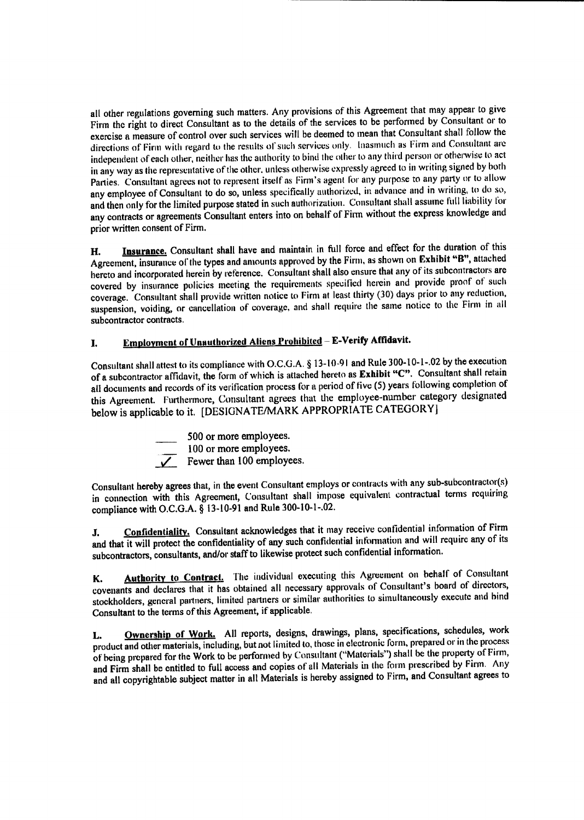all other regulations governing such matters. Any provisions of this Agreement that may appear to give Firm the right to direct Consultant as to the details of the services to be performed by Consultant or to exercise <sup>a</sup> measure of control over such services will be deemed to mean that Consultant shall follow the directions of Firm with regard to the results of such services only. Inasmuch as Firm and Consultant are independent of each other, neither has the authority to bind the other to any third person or otherwise to act in any way as the representative of the other, unless otherwise expressly agreed to in writing signed by both Parties. Consultant agrees not to represent itself as Firm's agent for any purpose to any party or to allow any employee of Consultant to do so, unless specifically authorized, in advance and in writing, to do so, and then only for the limited purpose stated in such authorization. Consultant shall assume full liability for any contracts or agreements Consultant enters into on behalf of Firm without the express knowledge and prior written consent of Firm.

H. **Insurance.** Consultant shall have and maintain in full force and effect for the duration of this Agreement, insurance of the types and amounts approved by the Firm, as shown on Exhibit "B", attached hereto and incorporated herein by reference. Consultant shall also ensure that any of its subcontractors are covered by insurance policies meeting the requirements specified herein and provide proof of such coverage. Consultant shall provide written notice to Firm at least thirty( 30) days prior to any reduction, suspension, voiding, or cancellation of coverage, and shall require the same notice to the Firm in all subcontractor contracts.

# I. Employment of Unauthorized Aliens Prohibited - E-Verify Affidavit.

Consultant shall attest to its compliance with O.C.G.A. § 13-10-91 and Rule 300-10-1-.02 by the execution of a subcontractor affidavit, the form of which is attached hereto as Exhibit "C". Consultant shall retain all documents and records of its verification process for <sup>a</sup> period of five( 5) years following completion of this Agreement. Furthermore, Consultant agrees that the employee- number category designated below is applicable to it. [DESIGNATE/MARK APPROPRIATE CATEGORY]

500 or more employees. 100 or more employees.  $\sqrt{\phantom{a}}$  Fewer than 100 employees.

Consultant hereby agrees that, in the event Consultant employs or contracts with any sub-subcontractor(s) in connection with this Agreement, Consultant shall impose equivalent contractual terms requiring compliance with O.C.G.A. § 13-10-91 and Rule 300-10-1-.02.

J. Confidentiality. Consultant acknowledges that it may receive confidential information of Firm and that it will protect the confidentiality of any such confidential information and will require any of its subcontractors, consultants, and/or staff to likewise protect such confidential information.

K. **Authority to Contract.** The individual executing this Agreement on behalf of Consultant covenants and declares that it has obtained all necessary approvals of Consultant's board of directors, stockholders, general partners, limited partners or similar authorities to simultaneously execute and bind Consultant to the terms of this Agreement, if applicable.

L. Ownership of Work. All reports, designs, drawings, plans, specifications, schedules, work product and other materials, including, but not limited to, those in electronic form, prepared or in the process ofbeing prepared for the Work to be performed by Consultant(" Materials") shall be the property of Firm, and Firm shall be entitled to full access and copies of all Materials in the form prescribed by Firm. Any and all copyrightable subject matter in all Materials is hereby assigned to Firm, and Consultant agrees to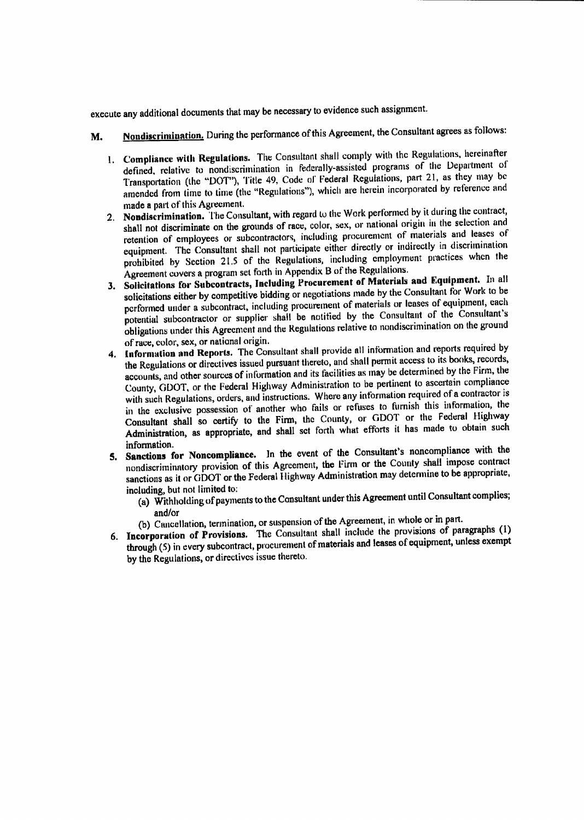execute any additional documents that may be necessary to evidence such assignment.

- M. Nondiscrimination. During the performance of this Agreement, the Consultant agrees as follows:
	- 1. Compliance with Regulations. The Consultant shall comply with the Regulations, hereinafter defined, relative to nondiscrimination in fedcrally-assisted programs of the Department of Transportation (the "DOT"), Title 49, Code of Federal Regulations, part 21, as they may be amended from time to time (the "Regulations"), which are herein incorporated by reference and made a part of this Agreement.
	- 2. Nondiscrimination. The Consultant, with regard to the Work performed by it during the contract, shall not discriminate on the grounds of race, color, sex, or national origin in the selection and retention of employees or subcontractors, including procurement of materials and leases of equipment. The Consultant shall not participate either directly or indirectly in discrimination prohibited by Section 21.5 of the Regulations, including employment practices when the Agreement covers <sup>a</sup> program set forth in Appendix B of the Regulations.
	- 3. Solicitations for Subcontracts, including Procurement of Materials and Equipment. In all solicitations either by competitive bidding or negotiations made by the Consultant for Work to be performed under <sup>a</sup> subcontract, including procurement of materials or leases of equipment, each potential subcontractor or supplier shall be notified by the Consultant of the Consultant's obligations under this Agreement and the Regulations relative to nondiscrimination on the ground of race, color, sex, or national origin.
	- 4. Information and Reports. The Consultant shall provide all information and reports required by the Regulations or directives issued pursuant thereto, and shall permit access to its books, records, accounts, and other sources of information and its facilities as may be determined by the Firm, the County, GDOT, or the Federal Highway Administration to be pertinent to ascertain compliance County, GDOT, or the Federal Highway Administration  $\alpha$  be pertinent to be contractor is with such Regulations, orders, and instructions. Where any information required to a contractor  $\mu$ in the exclusive possession of another who fails or refuses to furnish this information, the Consultant shall so certify to the Firm, the County, or GDOT or the Federal Highway Administration, as appropriate, and shall set forth what efforts it has made to obtain such information.
	- 5. Sanctions for Noncompliance. In the event of the Consultant's noncompliance with the nondiscriminatory provision of this Agreement, the Firm or the County shall impose contract sanctions as it or GDOT or the Federal Ilighway Administration may determine to be appropriate,
		- including, but not limited to: a) Withholding of payments to the Consultant under this Agreement until Consultant complies; and/or
			- b) Cancellation, termination, or suspension of the Agreement, in whole or in part.
	- 6. Incorporation of Provisions. The Consultant shall include the provisions of paragraphs ( 1) through( 5) in every subcontract, procurement of materials and leases of equipment, unless exempt by the Regulations, or directives issue thereto.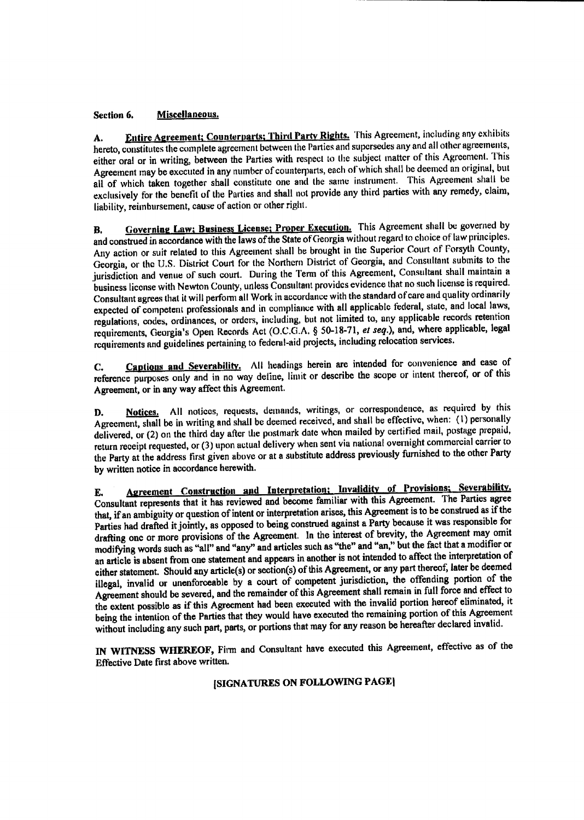## Section 6. Miscellaneous.

A. Entire Agreement; Counterparts; Third Party Rights. This Agreement, including any exhibits hereto, constitutes the complete agreement between the Parties and supersedes any and all other agreements, either oral or in wridng, between the Parties with respect to the subject matter of this Agreement. This Agreement may be executed in any number of counterparts, each of which shall be deemed an original, but all of which taken together shall constitute one and the same instrument. This Agreement shall be exclusively for the benefit of the Parties and shall not provide any third parties with any remedy, claim, liability, reimbursement, cause of action or other right.

B. **Governing Law; Business License; Proper Execution.** This Agreement shall be governed by and construed in accordance with the laws of the State of Georgia without regard to choice of law principles.<br>Any action or suit related to this Agreement shall be brought in the Superior Court of Forsyth County, Any action or suit related to this Agreement shall be brought in the superior Court of Forsyth County, Georgia, or the U.S. District Court for the Northern District of Georgia, and Consultant submits to the jurisdiction and venue of such court. During the Term of this Agreement, Consultant shall maintain a business license with Newton County, unless Consultant provides evidence that no such license is required. Consultant agrees that it will perform all Work in accordance with the standard of care and quality ordinarily expected of competent professionals and in compliance with all applicable federal, state, and local laws, regulations, codes, ordinances, or orders, including, but not limited to, any applicable records retention requirements, Georgia's Open Records Act (O.C.G.A. § 50-18-71, et seq.), and, where applicable, legal requirements and guidelines pertaining to federal- aid projects, including relocation services.

C. Captions and Severability. All headings herein are intended for convenience and ease of reference purposes only and in no way deline, limit or describe the scope or intent thereof, or of this Agreement, or in any way affect this Agreement.

D. Notices. All notices, requests, demands, writings, or correspondence, as required by this Agreement, shall be in writing and shall be deemed received, and shall be effective, when: (1) personally delivered, or (2) on the third day after the postmark date when mailed by certified mail, postage prepaid, return receipt requested, or (3) upon actual delivery when sent via national overnight commercial carrier to the Party at the address first given above or at a substitute address previously furnished to the other Party by written notice in accordance herewith.

E. Agreement Construction and Interpretation; Invalidity of Provisions; Severability. Consultant represents that it has reviewed and become familiar with this Agreement. The Parties agree that, if an ambiguity or question of intent or interpretation arises, this Agreement is to be construed as if the Parties had drafted it jointly, as opposed to being construed against a Party because it was responsible for drafting one or more provisions of the Agreement. In the interest of brevity, the Agreement may omit drafting one or more provisions of the Agreement. In the interest of brevity, the Agreement may omit in  $\alpha$ modifying words such as "all" and "any" and articles such as "the fact that and" and "any restation of an article is absent from one statement and appears in another is not intended to affect the interpretation of either statement. Should any article(s) or section(s) of this Agreement, or any part thereof, later be deemed illegal, invalid or unenforceable by a court of competent jurisdiction, the offending portion of the Agreement should be severed, and the remainder of this Agreement shall remain in full force and effect to the extent possible as ifthis Agreement had been executed with the invalid portion hereof eliminated, it being the intention of the Parties that they would have executed the remaining portion of this Agreement without including any such part, parts, or portions that may for any reason be hereafter declared invalid.

IN WITNESS WHEREOF, Firm and Consultant have executed this Agreement, effective as of the Effective Date first above written.

# SIGNATURES ON FOLLOWING PAGE]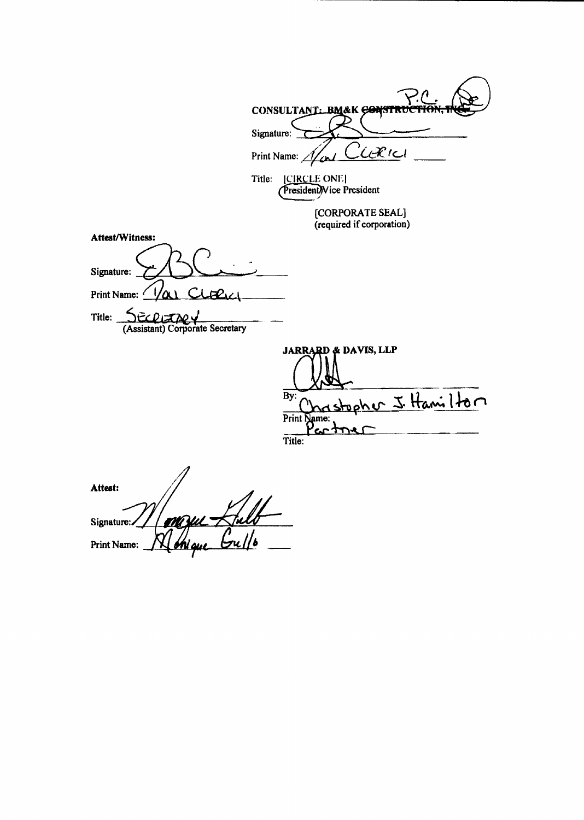|                                                              | CONSULTANT: BM&K CONSTRUC                               |
|--------------------------------------------------------------|---------------------------------------------------------|
|                                                              | Signature:                                              |
|                                                              | CLERICI<br>Print Name: $\Lambda$<br>$\overline{\omega}$ |
|                                                              | [CIRCLE ONE]<br>Title:<br>President) Vice President     |
|                                                              | [CORPORATE SEAL]<br>(required if corporation)           |
| Attest/Witness:                                              |                                                         |
| Signature:                                                   |                                                         |
| <u>Var Cloeic</u><br>Print Name:                             |                                                         |
| $R$ $R$ $R$ $R$<br>Title:<br>(Assistant) Corporate Secretary |                                                         |
|                                                              | <b>JARRARD &amp; DAVIS, LLP</b>                         |
|                                                              | By:                                                     |
|                                                              | rstopher J. Hamilton<br>Print Name:                     |
|                                                              | com<br>Title:                                           |
|                                                              |                                                         |
| Attest:                                                      |                                                         |

Signature: Print Name:  $\frac{1}{\sqrt{N}}$  this and  $\frac{1}{\sqrt{N}}$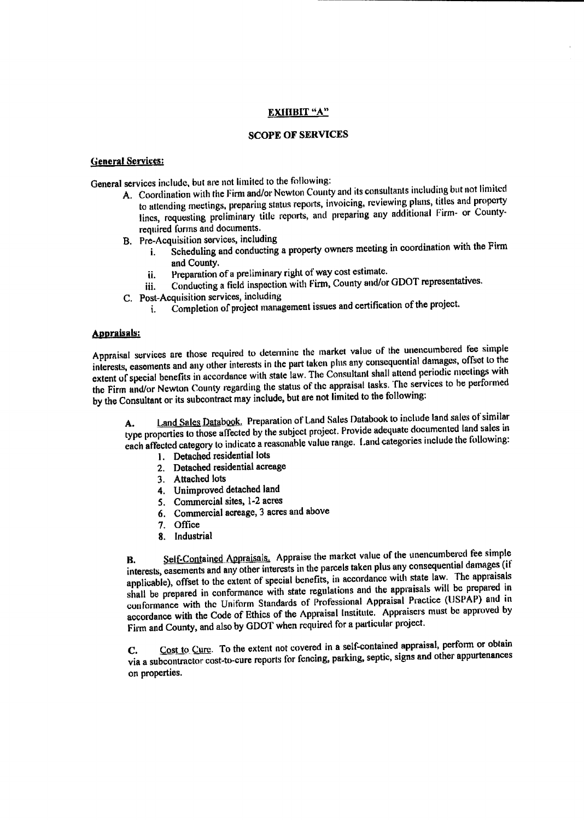## EXHIBIT<sup>4A"</sup>

## SCOPE OF SERVICES

#### General Services:

General services include, but are not limited to the following:

- A. Coordination with the Firm and/or Newton County and its consultants including but not limited<br>to attending meetings, preparing status reports, invoicing, reviewing plans, titles and property to attending meetings, preparing status reports, involving, reviewing plans, titles and property. lines, requesting preliminary title reports, and preparing any additional firm- or Countyrequired forms and documents.
- B. Pre- Acquisition services, including
	- i. Scheduling and conducting a property owners meeting in coordination with the Firm and County.
	- ii. Preparation of <sup>a</sup> preliminary right of way cost estimate.
	- iii. Conducting a field inspection with Firm, County and/or GDOT representatives.
- C. Post-Acquisition services, including
	- i. Completion of project management issues and certification of the project.

#### **Appraisals:**

Appraisal services are those required to determine the market value of the unencumbered fee simple interests, easements and any other interests in the part taken plus any consequential damages, offset to the extent of special benefits in accordance with state law. The Consultant shall attend periodic meetings with the Firm and/or Newton County regarding the status of the appraisal tasks. The services to be performed by the Consultant or its subcontract may include, but are not limited to the following:

A. Land Sales Databook. Preparation of Land Sales Databook to include land sales of similar type properties to those affected by the subject project. Provide adequate documented land sales in each affected category to indicate a reasonable value range. Land categories include the following:

- 1. Detached residential lots
- 2. Detached residential acreage
- 3. Attached lots
- 4. Unimproved detached land
- 5. Commercial sites, 1-2 acres
- 6. Commercial acreage, 3 acres and above
- 7. Office
- 8. Industrial

B. Self-Contained Appraisals. Appraise the market value of the unencumbered fee simple interests, easements and any other interests in the parcels taken plus any consequential damages (if applicable), offset to the extent of special benefits, in accordance with state law. The appraisals shall be prepared in conformance with state regulations and the appraisals will be prepared in conformance with the Uniform Standards of Professional Appraisal Practice (USPAP) and in accordance with the Code of Ethics of the Appraisal institute. Appraisers must be approved by Firm and County, and also by GDOT when required for a particular project.

C. Cost to Cure. To the extent not covered in a self-contained appraisal, perform or obtain via a subcontractor cost-to-cure reports for fencing, parking, septic, signs and other appurtenances on properties.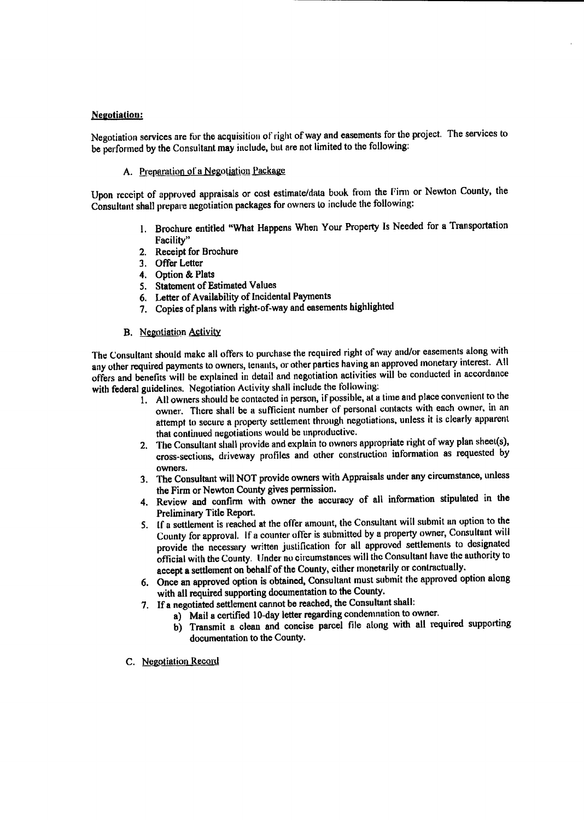## Negotiation:

Negotiation services are for the acquisition of right of way and easements for the project. The services to be performed by the Consultant may include, but are not limited to the following:

A. Preparation of a Negotiation Package

Upon receipt of approved appraisals or cost estimate/data book from the firm or Newton County, the Consultant shall prepare negotiation packages for owners to include the following:

- 1. Brochure entitled "What Happens When Your Property Is Needed for a Transportation Facility"
- 2. Receipt for Brochure
- 3. Offer Letter
- 4. Option& Plats
- 5. Statement of Estimated Values
- 6. Letter of Availability of Incidental Payments
- 7. Copies of plans with right-of-way and easements highlighted

#### B. Negotiation Activity

The Consultant should make all offers to purchase the required right of way and/or easements along with any other required payments to owners, tenants, or other parties having an approved monetary interest. All offers and benefits will be explained in detail and negotiation activities will be conducted in accordance with federal guidelines. Negotiation Activity shall include the following:

- 1. All owners should be contacted in person, if possible, at <sup>a</sup> time and place convenient to the owner. There shall be a sufficient number of personal contacts with each owner, in an attempt to secure a property settlement through negotiations, unless it is clearly apparent that continued negotiations would be unproductive.
- 2. The Consultant shall provide and explain to owners appropriate right of way plan sheet(s), cross-sections, driveway profiles and other construction information as requested by owners.
- 3. The Consultant will NOT provide owners with Appraisals under any circumstance, unless the Firm or Newton County gives permission.
- 4. Review and confirm with owner the accuracy of all information stipulated in the Preliminary Title Report.
- 5. If a settlement is reached at the offer amount, the Consultant will submit an option to the County for approval. If <sup>a</sup> counter offer is submitted by <sup>a</sup> property owner, Consultant will provide the necessary written justification for all approved settlements to designated official with the County. Under no circumstances will the Consultant have the authority to accept a settlement on behalf of the County, either monetarily or contractually.
- 6. Once an approved option is obtained, Consultant must submit the approved option along with all required supporting documentation to the County.
- 7. If <sup>a</sup> negotiated settlement cannot be reached, the Consultant shall:
	- a) Mail a certified 10-day letter regarding condemnation to owner.
		- b) Transmit a clean and concise parcel file along with all required supporting documentation to the County.
- C. Negotiation Record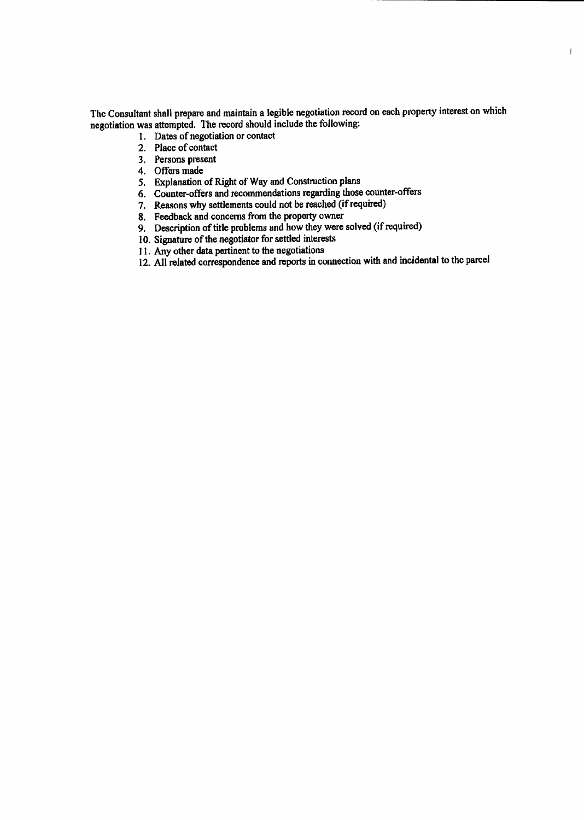The Consultant shall prepare and maintain a legible negotiation record on each property interest on which negotiation was attempted. The record should include the following:

i

- 1. Dates of negotiation or contact
- 2. Place of contact
- 3. Persons present
- 4. Offers made
- 5. Explanation of Right of Way and Construction plans
- 6. Counter-offers and recommendations regarding those counter-offers
- 7. Reasons why settlements could not be reached (if required)
- 8. Feedback and concerns from the property owner
- 9. Description of title problems and how they were solved (if required)
- 10. Signature of the negotiator for settled interests
- 11. Any other data pertinent to the negotiations
- 12. All related correspondence and reports in connection with and incidental to the parcel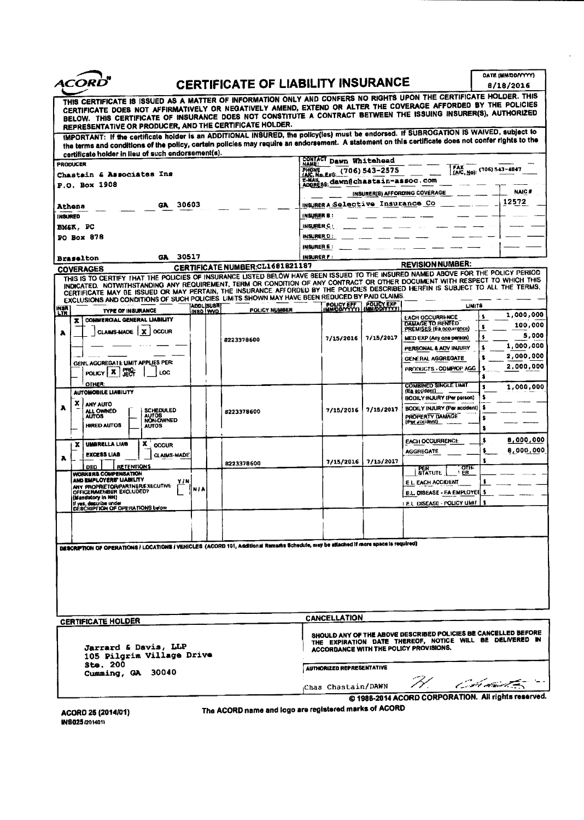|                                                                                                                                                                                                                                                                                                                                                                                                                                                                                                                                                                                                                                                                                                                 |       |                                                                                                                                                                      |                                                                        |                                                                         |                       | DATE (MM/DD/YYYY) |                                                                                    |           |                  |
|-----------------------------------------------------------------------------------------------------------------------------------------------------------------------------------------------------------------------------------------------------------------------------------------------------------------------------------------------------------------------------------------------------------------------------------------------------------------------------------------------------------------------------------------------------------------------------------------------------------------------------------------------------------------------------------------------------------------|-------|----------------------------------------------------------------------------------------------------------------------------------------------------------------------|------------------------------------------------------------------------|-------------------------------------------------------------------------|-----------------------|-------------------|------------------------------------------------------------------------------------|-----------|------------------|
| <i><b>ACORD</b></i>                                                                                                                                                                                                                                                                                                                                                                                                                                                                                                                                                                                                                                                                                             |       |                                                                                                                                                                      | <b>CERTIFICATE OF LIABILITY INSURANCE</b>                              |                                                                         |                       |                   |                                                                                    | 8/18/2016 |                  |
| THIS CERTIFICATE IS ISSUED AS A MATTER OF INFORMATION ONLY AND CONFERS NO RIGHTS UPON THE CERTIFICATE HOLDER. THIS<br>CERTIFICATE DOES NOT AFFIRMATIVELY OR NEGATIVELY AMEND, EXTEND OR ALTER THE COVERAGE AFFORDED BY THE POLICIES<br>BELOW. THIS CERTIFICATE OF INSURANCE DOES NOT CONSTITUTE A CONTRACT BETWEEN THE ISSUING INSURER(S), AUTHORIZED<br>REPRESENTATIVE OR PRODUCER, AND THE CERTIFICATE HOLDER.<br>IMPORTANT: If the certificate holder is an ADDITIONAL INSURED, the policy(ies) must be endorsed. If SUBROGATION IS WAIVED, subject to<br>the terms and conditions of the policy, certain policies may require an endorsement. A statement on this certificate does not confer rights to the |       |                                                                                                                                                                      |                                                                        |                                                                         |                       |                   |                                                                                    |           |                  |
| certificate holder in lieu of such endorsement(s).                                                                                                                                                                                                                                                                                                                                                                                                                                                                                                                                                                                                                                                              |       |                                                                                                                                                                      |                                                                        |                                                                         |                       |                   |                                                                                    |           |                  |
| <b>PRODUCER</b>                                                                                                                                                                                                                                                                                                                                                                                                                                                                                                                                                                                                                                                                                                 |       |                                                                                                                                                                      |                                                                        | CONTACT Dawn Whitehead<br>[AIC, No): (706) 543-4847<br>$(706)$ 543-2575 |                       |                   |                                                                                    |           |                  |
| Chastain & Associates Ins                                                                                                                                                                                                                                                                                                                                                                                                                                                                                                                                                                                                                                                                                       |       |                                                                                                                                                                      | PHONE<br>IAIC, No. Exi):<br>E-MAIL<br>ADDRESS; dawn@chastain-assoc.com |                                                                         |                       |                   |                                                                                    |           |                  |
| P.O. Box 1908                                                                                                                                                                                                                                                                                                                                                                                                                                                                                                                                                                                                                                                                                                   |       |                                                                                                                                                                      |                                                                        | <b>NAIC#</b><br>INSURER(S) AFFORDING COVERAGE                           |                       |                   |                                                                                    |           |                  |
| GA.                                                                                                                                                                                                                                                                                                                                                                                                                                                                                                                                                                                                                                                                                                             | 30603 |                                                                                                                                                                      |                                                                        | INSURER A Selective Insurance Co                                        |                       |                   |                                                                                    |           | 12572            |
| Athens<br><b>INSURED</b>                                                                                                                                                                                                                                                                                                                                                                                                                                                                                                                                                                                                                                                                                        |       |                                                                                                                                                                      |                                                                        | INSURER B:                                                              |                       |                   |                                                                                    |           |                  |
| BM&K, PC                                                                                                                                                                                                                                                                                                                                                                                                                                                                                                                                                                                                                                                                                                        |       |                                                                                                                                                                      |                                                                        | INSURER C:                                                              |                       |                   |                                                                                    |           |                  |
| PO Box 878                                                                                                                                                                                                                                                                                                                                                                                                                                                                                                                                                                                                                                                                                                      |       |                                                                                                                                                                      |                                                                        | <b>INSURER D:</b>                                                       |                       |                   |                                                                                    |           |                  |
|                                                                                                                                                                                                                                                                                                                                                                                                                                                                                                                                                                                                                                                                                                                 |       |                                                                                                                                                                      |                                                                        | <b>INGURER E:</b>                                                       |                       |                   |                                                                                    |           |                  |
| GA.<br><b>Braselton</b>                                                                                                                                                                                                                                                                                                                                                                                                                                                                                                                                                                                                                                                                                         | 30517 |                                                                                                                                                                      |                                                                        | <b>INSURER F:</b>                                                       |                       |                   |                                                                                    |           |                  |
| <b>COVERAGES</b>                                                                                                                                                                                                                                                                                                                                                                                                                                                                                                                                                                                                                                                                                                |       |                                                                                                                                                                      | CERTIFICATE NUMBER;CL1681821187                                        |                                                                         |                       |                   | <b>REVISION NUMBER:</b>                                                            |           |                  |
| THIS IS TO CERTIFY THAT THE POLICIES OF INSURANCE LISTED BELOW HAVE BEEN ISSUED TO THE INSURED NAMED ABOVE FOR THE POLICY PERIOD<br>INDICATED. NOTWITHSTANDING ANY REQUIREMENT, TERM OR CONDITION OF ANY CONTRACT OR OTHER DOCUMENT WITH RESPECT TO WHICH THIS<br>CERTIFICATE MAY BE ISSUED OR MAY PERTAIN, THE INSURANCE AFFORDED BY THE POLICIES DESCRIBED HEREIN IS SUBJECT TO ALL THE TERMS.<br>EXCLUSIONS AND CONDITIONS OF SUCH POLICIES LIMITS SHOWN MAY HAVE BEEN REDUCED BY PAID CLAIMS.                                                                                                                                                                                                               |       |                                                                                                                                                                      |                                                                        |                                                                         |                       |                   |                                                                                    |           |                  |
| <b>INSA</b><br>LTR<br><b>TYPE OF INSURANCE</b>                                                                                                                                                                                                                                                                                                                                                                                                                                                                                                                                                                                                                                                                  |       | <b>ADDLISUBA</b><br>INSD WVD                                                                                                                                         | <b>POLICY NUMBER</b>                                                   |                                                                         | POLICY EFF POLICY EXP |                   |                                                                                    | LINITS    |                  |
| COMMERCIAL GENERAL LIABILITY<br>x                                                                                                                                                                                                                                                                                                                                                                                                                                                                                                                                                                                                                                                                               |       |                                                                                                                                                                      |                                                                        |                                                                         |                       |                   | <b>EACH OCCURRENCE</b><br>DAMAGE TO RENTED                                         | s         | 1,000,000        |
| CLAIMS-MADE   X<br><b>OCCUR</b><br>A                                                                                                                                                                                                                                                                                                                                                                                                                                                                                                                                                                                                                                                                            |       |                                                                                                                                                                      |                                                                        |                                                                         |                       |                   | PREMISES (Fa occurrence)                                                           | s         | 100,000<br>5,000 |
|                                                                                                                                                                                                                                                                                                                                                                                                                                                                                                                                                                                                                                                                                                                 |       |                                                                                                                                                                      | 8223378600                                                             |                                                                         | 7/15/2016             | 7/15/2017         | MED EXP (Any one person)                                                           | \$        | 1,000,000        |
|                                                                                                                                                                                                                                                                                                                                                                                                                                                                                                                                                                                                                                                                                                                 |       |                                                                                                                                                                      |                                                                        |                                                                         |                       |                   | PERSONAL & ADV INJURY                                                              | \$<br>s   | 2,000,000        |
| GEN'L AGGREGATE LIMIT APPLIES PER:                                                                                                                                                                                                                                                                                                                                                                                                                                                                                                                                                                                                                                                                              |       |                                                                                                                                                                      |                                                                        |                                                                         |                       |                   | <b>GENERAL AGGREGATE</b><br>PRODUCTS - COMPIOP AGG                                 |           | 2,000,000        |
| <b>Tect</b><br>POLICY   X<br>LOC                                                                                                                                                                                                                                                                                                                                                                                                                                                                                                                                                                                                                                                                                |       |                                                                                                                                                                      |                                                                        |                                                                         |                       |                   |                                                                                    |           |                  |
| <b>OTHER:</b><br><b>AUTOMOBILE LIABIUTY</b>                                                                                                                                                                                                                                                                                                                                                                                                                                                                                                                                                                                                                                                                     |       |                                                                                                                                                                      |                                                                        |                                                                         |                       |                   | <b>COMBINED SINGLE LIMIT</b><br>(En accident)<br><b>BODILY INJURY (Per person)</b> |           | 1,000,000        |
| x<br>ANY AUTO<br>A<br><b>SCHEDULED</b><br>ALL OWNED<br><b>AUTOS</b><br>AUTOS<br>NON-OWNED<br><b>HIRED AUTOS</b><br><b>AUTOS</b>                                                                                                                                                                                                                                                                                                                                                                                                                                                                                                                                                                                 |       |                                                                                                                                                                      | 8223378600                                                             |                                                                         | 7/15/2016             | 7/15/2017         | BODILY INJURY (Per accident)<br><b>PROPERTY DAMAGE</b><br>(Per accident)           | s<br>s    |                  |
|                                                                                                                                                                                                                                                                                                                                                                                                                                                                                                                                                                                                                                                                                                                 |       |                                                                                                                                                                      |                                                                        |                                                                         |                       |                   | EACH OCCURRENCE                                                                    | \$        | 8,000,000        |
| x<br>UMBRELLA LIAB<br>x<br><b>OCCUR</b>                                                                                                                                                                                                                                                                                                                                                                                                                                                                                                                                                                                                                                                                         |       |                                                                                                                                                                      |                                                                        |                                                                         |                       |                   | <b>AGGREGATE</b>                                                                   | s         | 8,000,000        |
| <b>EXCESS LIAB</b><br><b>GLAIMS MADE</b><br>A                                                                                                                                                                                                                                                                                                                                                                                                                                                                                                                                                                                                                                                                   |       |                                                                                                                                                                      | 8223378600                                                             |                                                                         | 7/15/2016             | 7/15/2017         |                                                                                    |           |                  |
| <b>RETENTIONS</b><br>DED<br>WORKER'S COMPENSATION                                                                                                                                                                                                                                                                                                                                                                                                                                                                                                                                                                                                                                                               |       |                                                                                                                                                                      |                                                                        |                                                                         |                       |                   | <b>atili</b><br><b>PER</b><br>STATUTE<br>ER.                                       |           |                  |
| AND EMPLOYERS' LIABILITY                                                                                                                                                                                                                                                                                                                                                                                                                                                                                                                                                                                                                                                                                        | YIN   |                                                                                                                                                                      |                                                                        |                                                                         |                       |                   | E L. EACH ACCIDENT                                                                 |           |                  |
| ANY PROPRIETOR/PARTNER/EXECUTIVE<br>(Mandatory In NH)                                                                                                                                                                                                                                                                                                                                                                                                                                                                                                                                                                                                                                                           | NIA   |                                                                                                                                                                      |                                                                        |                                                                         |                       |                   | E.L. DISEASE - EA EMPLOYEE \$                                                      |           |                  |
| If yes, describe under<br>DESCRIPTION OF OPERATIONS below                                                                                                                                                                                                                                                                                                                                                                                                                                                                                                                                                                                                                                                       |       |                                                                                                                                                                      |                                                                        |                                                                         |                       |                   | EL DISEASE - POLICY LIMIT                                                          | -5        |                  |
|                                                                                                                                                                                                                                                                                                                                                                                                                                                                                                                                                                                                                                                                                                                 |       |                                                                                                                                                                      |                                                                        |                                                                         |                       |                   |                                                                                    |           |                  |
|                                                                                                                                                                                                                                                                                                                                                                                                                                                                                                                                                                                                                                                                                                                 |       |                                                                                                                                                                      |                                                                        |                                                                         |                       |                   |                                                                                    |           |                  |
|                                                                                                                                                                                                                                                                                                                                                                                                                                                                                                                                                                                                                                                                                                                 |       |                                                                                                                                                                      |                                                                        |                                                                         |                       |                   |                                                                                    |           |                  |
| DESCRIPTION OF OPERATIONS / LOCATIONS / VEHICLES (ACORD 101, Additional Remarks Schedule, may be attached if more space is required)                                                                                                                                                                                                                                                                                                                                                                                                                                                                                                                                                                            |       |                                                                                                                                                                      |                                                                        |                                                                         |                       |                   |                                                                                    |           |                  |
|                                                                                                                                                                                                                                                                                                                                                                                                                                                                                                                                                                                                                                                                                                                 |       |                                                                                                                                                                      |                                                                        |                                                                         |                       |                   |                                                                                    |           |                  |
|                                                                                                                                                                                                                                                                                                                                                                                                                                                                                                                                                                                                                                                                                                                 |       |                                                                                                                                                                      |                                                                        |                                                                         |                       |                   |                                                                                    |           |                  |
|                                                                                                                                                                                                                                                                                                                                                                                                                                                                                                                                                                                                                                                                                                                 |       |                                                                                                                                                                      |                                                                        |                                                                         |                       |                   |                                                                                    |           |                  |
|                                                                                                                                                                                                                                                                                                                                                                                                                                                                                                                                                                                                                                                                                                                 |       |                                                                                                                                                                      |                                                                        |                                                                         |                       |                   |                                                                                    |           |                  |
|                                                                                                                                                                                                                                                                                                                                                                                                                                                                                                                                                                                                                                                                                                                 |       |                                                                                                                                                                      |                                                                        |                                                                         |                       |                   |                                                                                    |           |                  |
| <b>CERTIFICATE HOLDER</b>                                                                                                                                                                                                                                                                                                                                                                                                                                                                                                                                                                                                                                                                                       |       |                                                                                                                                                                      |                                                                        |                                                                         | <b>CANCELLATION</b>   |                   |                                                                                    |           |                  |
| Jarrard & Davis, LLP<br>105 Pilgrim Village Drive                                                                                                                                                                                                                                                                                                                                                                                                                                                                                                                                                                                                                                                               |       | SHOULD ANY OF THE ABOVE DESCRIBED POLICIES BE CANCELLED BEFORE<br>THE EXPIRATION DATE THEREOF, NOTICE WILL BE DELIVERED IN<br>ACCORDANCE WITH THE POLICY PROVISIONS. |                                                                        |                                                                         |                       |                   |                                                                                    |           |                  |
| <b>Ste. 200</b><br>Cumming, GA 30040                                                                                                                                                                                                                                                                                                                                                                                                                                                                                                                                                                                                                                                                            |       |                                                                                                                                                                      | <b>AUTHORIZED REPRESENTATIVE</b><br>ーファ                                |                                                                         |                       |                   |                                                                                    |           |                  |

ACORD 25 (2014/01)<br>INS025 (201401)

ACORD 25( 2014101) The ACORD name and logo are registered marks of ACORD

Chas Chastain/ DAWN

1988-2014 ACORD CORPORATION. All rights reserved.

 $\hat{\mathbf{r}}$